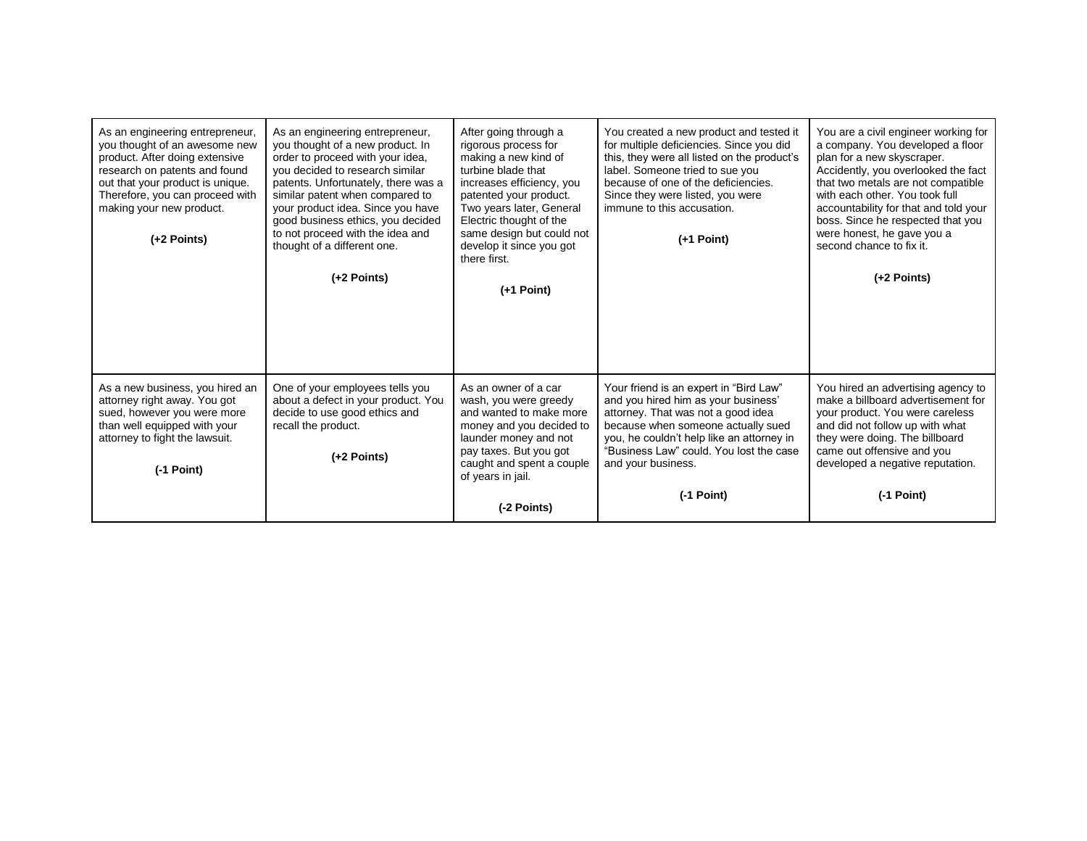| As an engineering entrepreneur,<br>you thought of an awesome new<br>product. After doing extensive<br>research on patents and found<br>out that your product is unique.<br>Therefore, you can proceed with<br>making your new product.<br>(+2 Points) | As an engineering entrepreneur,<br>you thought of a new product. In<br>order to proceed with your idea,<br>you decided to research similar<br>patents. Unfortunately, there was a<br>similar patent when compared to<br>your product idea. Since you have<br>good business ethics, you decided<br>to not proceed with the idea and<br>thought of a different one.<br>$(+2$ Points) | After going through a<br>rigorous process for<br>making a new kind of<br>turbine blade that<br>increases efficiency, you<br>patented your product.<br>Two years later, General<br>Electric thought of the<br>same design but could not<br>develop it since you got<br>there first.<br>$(+1$ Point) | You created a new product and tested it<br>for multiple deficiencies. Since you did<br>this, they were all listed on the product's<br>label. Someone tried to sue you<br>because of one of the deficiencies.<br>Since they were listed, you were<br>immune to this accusation.<br>$(+1$ Point) | You are a civil engineer working for<br>a company. You developed a floor<br>plan for a new skyscraper.<br>Accidently, you overlooked the fact<br>that two metals are not compatible<br>with each other. You took full<br>accountability for that and told your<br>boss. Since he respected that you<br>were honest, he gave you a<br>second chance to fix it.<br>$(+2$ Points) |
|-------------------------------------------------------------------------------------------------------------------------------------------------------------------------------------------------------------------------------------------------------|------------------------------------------------------------------------------------------------------------------------------------------------------------------------------------------------------------------------------------------------------------------------------------------------------------------------------------------------------------------------------------|----------------------------------------------------------------------------------------------------------------------------------------------------------------------------------------------------------------------------------------------------------------------------------------------------|------------------------------------------------------------------------------------------------------------------------------------------------------------------------------------------------------------------------------------------------------------------------------------------------|--------------------------------------------------------------------------------------------------------------------------------------------------------------------------------------------------------------------------------------------------------------------------------------------------------------------------------------------------------------------------------|
| As a new business, you hired an<br>attorney right away. You got<br>sued, however you were more<br>than well equipped with your<br>attorney to fight the lawsuit.<br>$(-1$ Point)                                                                      | One of your employees tells you<br>about a defect in your product. You<br>decide to use good ethics and<br>recall the product.<br>$(+2$ Points)                                                                                                                                                                                                                                    | As an owner of a car<br>wash, you were greedy<br>and wanted to make more<br>money and you decided to<br>launder money and not<br>pay taxes. But you got<br>caught and spent a couple<br>of years in jail.<br>(-2 Points)                                                                           | Your friend is an expert in "Bird Law"<br>and you hired him as your business'<br>attorney. That was not a good idea<br>because when someone actually sued<br>you, he couldn't help like an attorney in<br>"Business Law" could. You lost the case<br>and your business.<br>(-1 Point)          | You hired an advertising agency to<br>make a billboard advertisement for<br>your product. You were careless<br>and did not follow up with what<br>they were doing. The billboard<br>came out offensive and you<br>developed a negative reputation.<br>$(-1$ Point)                                                                                                             |